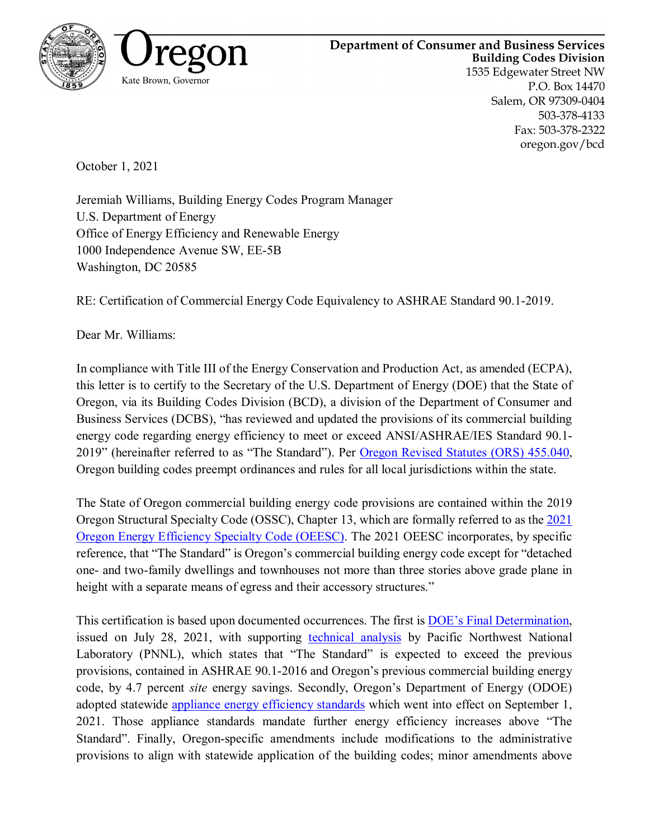



oregon.gov/bcd

October 1, 2021

Jeremiah Williams, Building Energy Codes Program Manager U.S. Department of Energy Office of Energy Efficiency and Renewable Energy 1000 Independence Avenue SW, EE-5B Washington, DC 20585

RE: Certification of Commercial Energy Code Equivalency to ASHRAE Standard 90.1-2019.

Dear Mr. Williams:

In compliance with Title III of the Energy Conservation and Production Act, as amended (ECPA), this letter is to certify to the Secretary of the U.S. Department of Energy (DOE) that the State of Oregon, via its Building Codes Division (BCD), a division of the Department of Consumer and Business Services (DCBS), "has reviewed and updated the provisions of its commercial building energy code regarding energy efficiency to meet or exceed ANSI/ASHRAE/IES Standard 90.1- 2019" (hereinafter referred to as "The Standard"). Per [Oregon Revised Statutes \(ORS\) 455.040,](https://oregon.public.law/statutes/ors_455.040) Oregon building codes preempt ordinances and rules for all local jurisdictions within the state.

The State of Oregon commercial building energy code provisions are contained within the 2019 Oregon Structural Specialty Code (OSSC), Chapter 13, which are formally referred to as the [2021](https://www.oregon.gov/bcd/codes-stand/Documents/2021oeesc.pdf)  [Oregon Energy Efficiency Specialty Code \(OEESC\).](https://www.oregon.gov/bcd/codes-stand/Documents/2021oeesc.pdf) The 2021 OEESC incorporates, by specific reference, that "The Standard" is Oregon's commercial building energy code except for "detached one- and two-family dwellings and townhouses not more than three stories above grade plane in height with a separate means of egress and their accessory structures."

This certification is based upon documented occurrences. The first is [DOE's Final Determination,](https://www.federalregister.gov/documents/2021/07/28/2021-15971/final-determination-regarding-energy-efficiency-improvements-in-ansiashraeies-standard-901-2019) issued on July 28, 2021, with supporting [technical analysis](https://www.energycodes.gov/sites/default/files/2021-07/Standard_90.1-2019_Final_Determination_TSD.pdf) by Pacific Northwest National Laboratory (PNNL), which states that "The Standard" is expected to exceed the previous provisions, contained in ASHRAE 90.1-2016 and Oregon's previous commercial building energy code, by 4.7 percent *site* energy savings. Secondly, Oregon's Department of Energy (ODOE) adopted statewide [appliance energy efficiency standards](https://www.oregon.gov/energy/Get-Involved/rulemakingdocs/2020-08-31-Appliance-Standards-Permanent-Rules-Filing.pdf) which went into effect on September 1, 2021. Those appliance standards mandate further energy efficiency increases above "The Standard". Finally, Oregon-specific amendments include modifications to the administrative provisions to align with statewide application of the building codes; minor amendments above